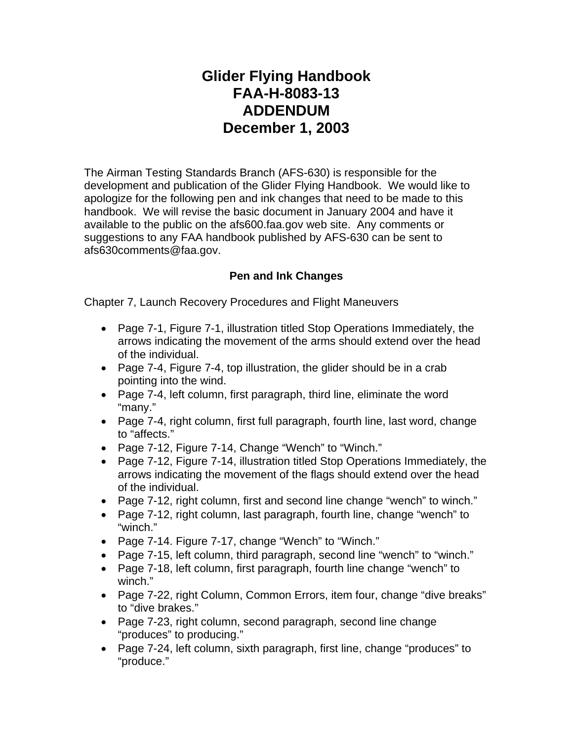## **Glider Flying Handbook FAA-H-8083-13 ADDENDUM December 1, 2003**

The Airman Testing Standards Branch (AFS-630) is responsible for the development and publication of the Glider Flying Handbook. We would like to apologize for the following pen and ink changes that need to be made to this handbook. We will revise the basic document in January 2004 and have it available to the public on the afs600.faa.gov web site. Any comments or suggestions to any FAA handbook published by AFS-630 can be sent to afs630comments@faa.gov.

## **Pen and Ink Changes**

Chapter 7, Launch Recovery Procedures and Flight Maneuvers

- Page 7-1, Figure 7-1, illustration titled Stop Operations Immediately, the arrows indicating the movement of the arms should extend over the head of the individual.
- Page 7-4, Figure 7-4, top illustration, the glider should be in a crab pointing into the wind.
- Page 7-4, left column, first paragraph, third line, eliminate the word "many."
- Page 7-4, right column, first full paragraph, fourth line, last word, change to "affects."
- Page 7-12, Figure 7-14, Change "Wench" to "Winch."
- Page 7-12, Figure 7-14, illustration titled Stop Operations Immediately, the arrows indicating the movement of the flags should extend over the head of the individual.
- Page 7-12, right column, first and second line change "wench" to winch."
- Page 7-12, right column, last paragraph, fourth line, change "wench" to "winch."
- Page 7-14. Figure 7-17, change "Wench" to "Winch."
- Page 7-15, left column, third paragraph, second line "wench" to "winch."
- Page 7-18, left column, first paragraph, fourth line change "wench" to winch."
- Page 7-22, right Column, Common Errors, item four, change "dive breaks" to "dive brakes."
- Page 7-23, right column, second paragraph, second line change "produces" to producing."
- Page 7-24, left column, sixth paragraph, first line, change "produces" to "produce."